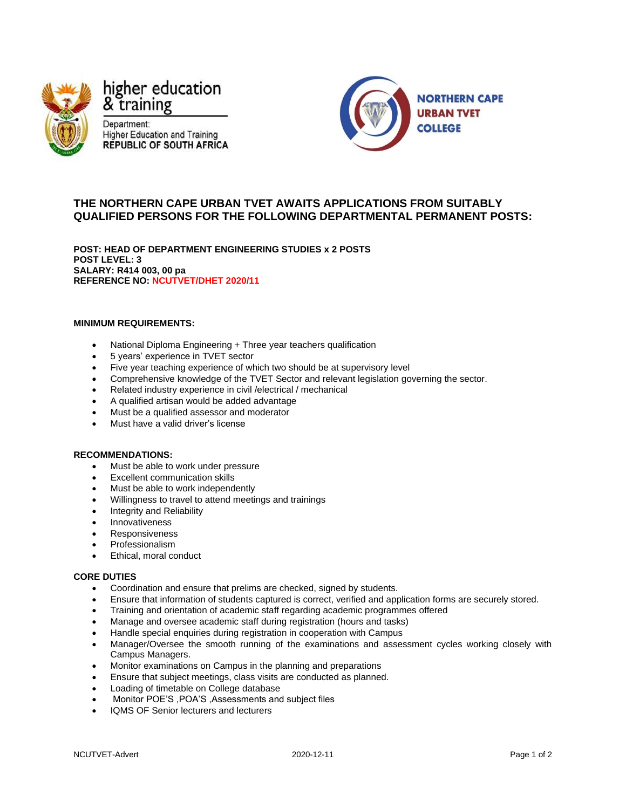

higher education & training

Department: **Higher Education and Training** REPUBLIC OF SOUTH AFRICA



# **THE NORTHERN CAPE URBAN TVET AWAITS APPLICATIONS FROM SUITABLY QUALIFIED PERSONS FOR THE FOLLOWING DEPARTMENTAL PERMANENT POSTS:**

**POST: HEAD OF DEPARTMENT ENGINEERING STUDIES x 2 POSTS POST LEVEL: 3 SALARY: R414 003, 00 pa REFERENCE NO: NCUTVET/DHET 2020/11**

### **MINIMUM REQUIREMENTS:**

- National Diploma Engineering + Three year teachers qualification
- 5 years' experience in TVET sector
- Five year teaching experience of which two should be at supervisory level
- Comprehensive knowledge of the TVET Sector and relevant legislation governing the sector.
- Related industry experience in civil /electrical / mechanical
- A qualified artisan would be added advantage
- Must be a qualified assessor and moderator
- Must have a valid driver's license

### **RECOMMENDATIONS:**

- Must be able to work under pressure
- Excellent communication skills
- Must be able to work independently
- Willingness to travel to attend meetings and trainings
- Integrity and Reliability
- Innovativeness
- **Responsiveness**
- Professionalism
- Ethical, moral conduct

#### **CORE DUTIES**

- Coordination and ensure that prelims are checked, signed by students.
- Ensure that information of students captured is correct, verified and application forms are securely stored.
- Training and orientation of academic staff regarding academic programmes offered
- Manage and oversee academic staff during registration (hours and tasks)
- Handle special enquiries during registration in cooperation with Campus
- Manager/Oversee the smooth running of the examinations and assessment cycles working closely with Campus Managers.
- Monitor examinations on Campus in the planning and preparations
- Ensure that subject meetings, class visits are conducted as planned.
- Loading of timetable on College database
- Monitor POE'S ,POA'S ,Assessments and subject files
- IQMS OF Senior lecturers and lecturers